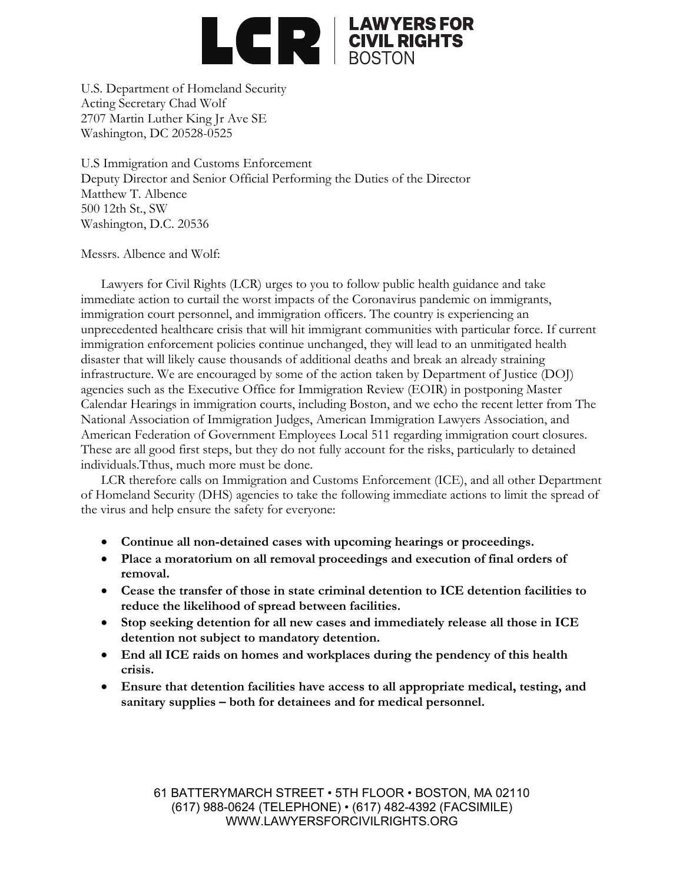

U.S. Department of Homeland Security Acting Secretary Chad Wolf 2707 Martin Luther King Jr Ave SE Washington, DC 20528-0525

U.S Immigration and Customs Enforcement Deputy Director and Senior Official Performing the Duties of the Director Matthew T. Albence 500 12th St., SW Washington, D.C. 20536

Messrs. Albence and Wolf:

Lawyers for Civil Rights (LCR) urges to you to follow public health guidance and take immediate action to curtail the worst impacts of the Coronavirus pandemic on immigrants, immigration court personnel, and immigration officers. The country is experiencing an unprecedented healthcare crisis that will hit immigrant communities with particular force. If current immigration enforcement policies continue unchanged, they will lead to an unmitigated health disaster that will likely cause thousands of additional deaths and break an already straining infrastructure. We are encouraged by some of the action taken by Department of Justice (DOJ) agencies such as the Executive Office for Immigration Review (EOIR) in postponing Master Calendar Hearings in immigration courts, including Boston, and we echo the recent letter from The National Association of Immigration Judges, American Immigration Lawyers Association, and American Federation of Government Employees Local 511 regarding immigration court closures. These are all good first steps, but they do not fully account for the risks, particularly to detained individuals.Tthus, much more must be done.

LCR therefore calls on Immigration and Customs Enforcement (ICE), and all other Department of Homeland Security (DHS) agencies to take the following immediate actions to limit the spread of the virus and help ensure the safety for everyone:

- **Continue all non-detained cases with upcoming hearings or proceedings.**
- **Place a moratorium on all removal proceedings and execution of final orders of removal.**
- **Cease the transfer of those in state criminal detention to ICE detention facilities to reduce the likelihood of spread between facilities.**
- **Stop seeking detention for all new cases and immediately release all those in ICE detention not subject to mandatory detention.**
- **End all ICE raids on homes and workplaces during the pendency of this health crisis.**
- **Ensure that detention facilities have access to all appropriate medical, testing, and sanitary supplies – both for detainees and for medical personnel.**

61 BATTERYMARCH STREET • 5TH FLOOR • BOSTON, MA 02110 (617) 988-0624 (TELEPHONE) • (617) 482-4392 (FACSIMILE) WWW.LAWYERSFORCIVILRIGHTS.ORG